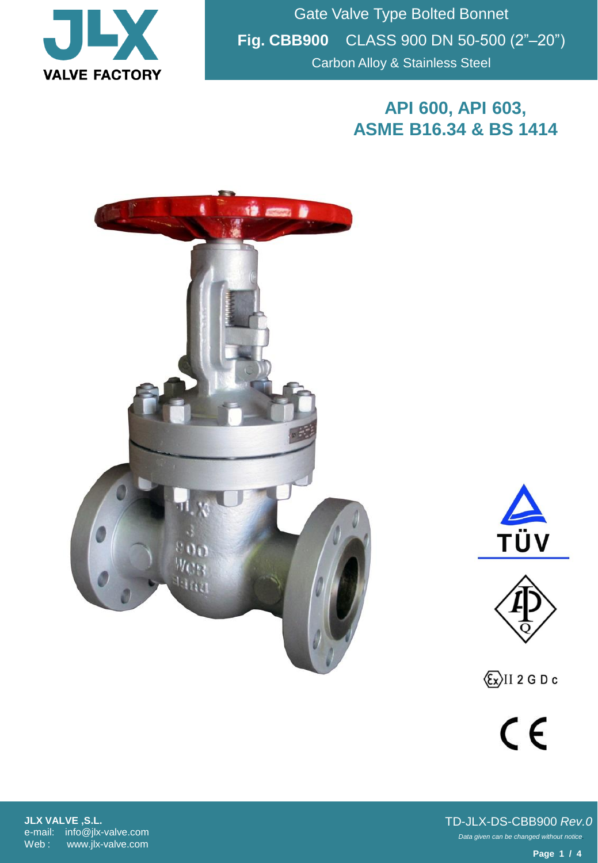

Gate Valve Type Bolted Bonnet **Fig. CBB900** CLASS 900 DN 50-500 (2"–20") Carbon Alloy & Stainless Steel

## **API 600, API 603, ASME B16.34 & BS 1414**







 $\langle \overline{\xi x} \rangle$ II 2 G D c

 $C \in$ 

**JLX VALVE ,S.L.** e-mail: info@jlx-valve.com Web : www.jlx-valve.com

*Data given can be changed without notice.* TD-JLX-DS-CBB900 *Rev.0*

**Page 1 / 4**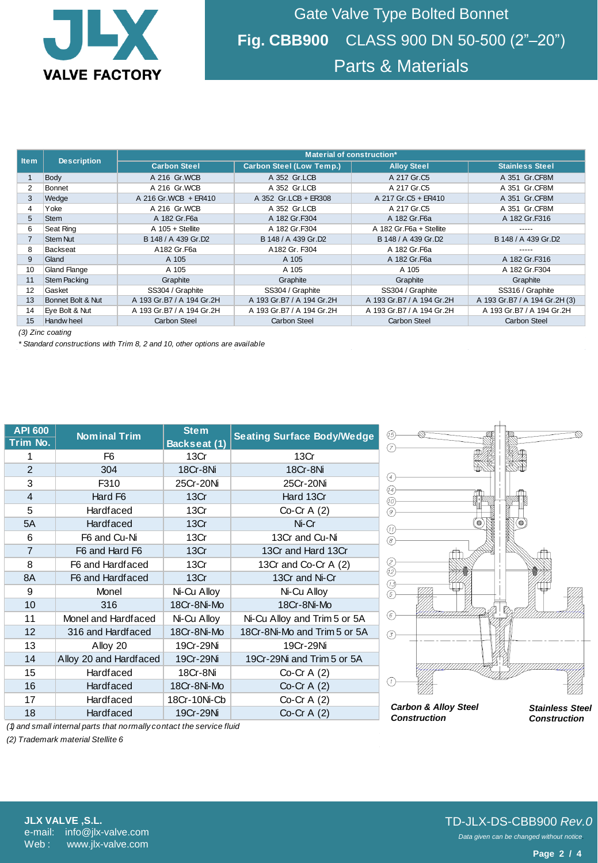

Gate Valve Type Bolted Bonnet **Fig. CBB900** CLASS 900 DN 50-500 (2"–20") Parts & Materials

| <b>Item</b>      | <b>Description</b>  | Material of construction* |                                 |                           |                               |  |  |  |
|------------------|---------------------|---------------------------|---------------------------------|---------------------------|-------------------------------|--|--|--|
|                  |                     | <b>Carbon Steel</b>       | <b>Carbon Steel (Low Temp.)</b> | <b>Alloy Steel</b>        | <b>Stainless Steel</b>        |  |  |  |
|                  | <b>Body</b>         | A 216 Gr.WCB              | A 352 Gr.LCB                    | A 217 Gr.C5               | A 351 Gr.CF8M                 |  |  |  |
| $\overline{2}$   | Bonnet              | A 216 Gr.WCB              | A 352 Gr.LCB                    | A 217 Gr.C5               | A 351 Gr.CF8M                 |  |  |  |
| 3                | Wedge               | A 216 Gr.WCB + ER410      | A 352 Gr.LCB + ER308            | A 217 Gr.C5 + ER410       | A 351 Gr.CF8M                 |  |  |  |
| 4                | Yoke                | A 216 Gr.WCB              | A 352 Gr.LCB                    | A 217 Gr.C5               | A 351 Gr.CF8M                 |  |  |  |
| 5                | <b>Stem</b>         | A 182 Gr. F6a             | A 182 Gr.F304                   | A 182 Gr. F6a             | A 182 Gr.F316                 |  |  |  |
| 6                | Seat Ring           | A 105 + Stellite          | A 182 Gr.F304                   | A 182 Gr.F6a + Stellite   | -----                         |  |  |  |
|                  | <b>Stem Nut</b>     | B 148 / A 439 Gr.D2       | B 148 / A 439 Gr.D2             | B 148 / A 439 Gr.D2       | B 148 / A 439 Gr.D2           |  |  |  |
| 8                | Backseat            | A182 Gr.F6a               | A182 Gr. F304                   | A 182 Gr.F6a              | $- - - - -$                   |  |  |  |
| 9                | Gland               | A 105                     | A 105                           | A 182 Gr.F6a              | A 182 Gr.F316                 |  |  |  |
| 10               | <b>Gland Flange</b> | A 105                     | A 105                           | A 105                     | A 182 Gr.F304                 |  |  |  |
| 11               | <b>Stem Packing</b> | Graphite                  | Graphite                        | Graphite                  | Graphite                      |  |  |  |
| 12               | Gasket              | SS304 / Graphite          | SS304 / Graphite                | SS304 / Graphite          | SS316 / Graphite              |  |  |  |
| 13               | Bonnet Bolt & Nut   | A 193 Gr.B7 / A 194 Gr.2H | A 193 Gr.B7 / A 194 Gr.2H       | A 193 Gr.B7 / A 194 Gr.2H | A 193 Gr.B7 / A 194 Gr.2H (3) |  |  |  |
| 14               | Eye Bolt & Nut      | A 193 Gr.B7 / A 194 Gr.2H | A 193 Gr.B7 / A 194 Gr.2H       | A 193 Gr.B7 / A 194 Gr.2H | A 193 Gr.B7 / A 194 Gr.2H     |  |  |  |
| 15               | <b>Handw</b> heel   | Carbon Steel              | <b>Carbon Steel</b>             | Carbon Steel              | <b>Carbon Steel</b>           |  |  |  |
| (3) Zinc coating |                     |                           |                                 |                           |                               |  |  |  |

*(3) Zinc coating*

*\* Standard constructions with Trim 8, 2 and 10, other options are available*

| <b>API 600</b> | <b>Nominal Trim</b>      | <b>Stem</b>  | <b>Seating Surface Body/Wedge</b> |  |
|----------------|--------------------------|--------------|-----------------------------------|--|
| Trim No.       |                          | Backseat (1) |                                   |  |
| 1              | F <sub>6</sub>           |              | 13Cr                              |  |
| $\overline{2}$ | 304                      | 18Cr-8Ni     | 18Cr-8Ni                          |  |
| 3              | F310                     | 25Cr-20Ni    | 25Cr-20Ni                         |  |
| $\overline{4}$ | Hard F6                  | 13Cr         | Hard 13Cr                         |  |
| 5              | <b>Hardfaced</b>         | 13Cr         | Co-Cr $A(2)$                      |  |
| 5A             | <b>Hardfaced</b>         | 13Cr         | Ni-Cr                             |  |
| 6              | F6 and Cu-Ni             | 13Cr         | 13Cr and Cu-Ni                    |  |
| $\overline{7}$ | F6 and Hard F6<br>13Cr   |              | 13Cr and Hard 13Cr                |  |
| 8              | F6 and Hardfaced         | 13Cr         | 13Cr and Co-Cr A (2)              |  |
| 8A             | F6 and Hardfaced<br>13Cr |              | 13Cr and Ni-Cr                    |  |
| 9              | Monel                    | Ni-Cu Alloy  | Ni-Cu Alloy                       |  |
| 10             | 316<br>18Cr-8Ni-Mo       |              | 18Cr-8Ni-Mo                       |  |
| 11             | Monel and Hardfaced      | Ni-Cu Alloy  | Ni-Cu Alloy and Trim 5 or 5A      |  |
| 12             | 316 and Hardfaced        | 18Cr-8Ni-Mo  | 18Cr-8Ni-Mo and Trim 5 or 5A      |  |
| 13             | Alloy 20                 | 19Cr-29Ni    | 19Cr-29Ni                         |  |
| 14             | Alloy 20 and Hardfaced   |              | 19Cr-29Ni and Trim 5 or 5A        |  |
| 15             | <b>Hardfaced</b>         | 18Cr-8Ni     | $Co-Cr A(2)$                      |  |
| 16             | <b>Hardfaced</b>         | 18Cr-8Ni-Mo  | Co-Cr $A(2)$                      |  |
| 17             | <b>Hardfaced</b>         | 18Cr-10Ni-Cb | Co-Cr $A(2)$                      |  |
| 18             | <b>Hardfaced</b>         | 19Cr-29Ni    | $Co-Cr A(2)$                      |  |



*(1) and small internal parts that normally contact the service fluid*

*(2) Trademark material Stellite 6*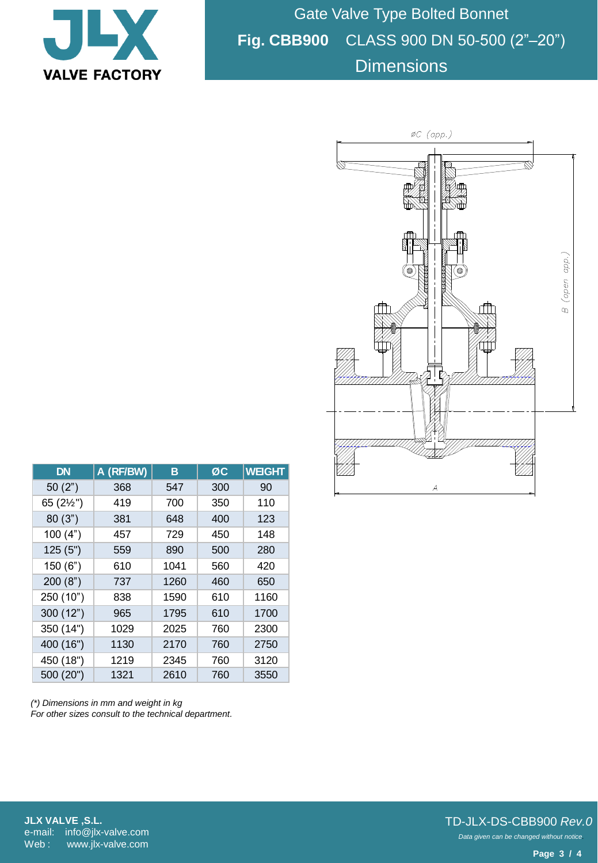

Gate Valve Type Bolted Bonnet **Fig. CBB900** CLASS 900 DN 50-500 (2"–20") **Dimensions** 



| <b>DN</b>           | A (RF/BW) | в    | ØC  | <b>WEIGHT</b> |
|---------------------|-----------|------|-----|---------------|
| 50(2")              | 368       | 547  | 300 | 90            |
| 65 $(2\frac{1}{2})$ | 419       | 700  | 350 | 110           |
| 80(3")              | 381       | 648  | 400 | 123           |
| 100(4")             | 457       | 729  | 450 | 148           |
| 125(5")             | 559       | 890  | 500 | 280           |
| 150(6")             | 610       | 1041 | 560 | 420           |
| 200(8")             | 737       | 1260 | 460 | 650           |
| 250 (10")           | 838       | 1590 | 610 | 1160          |
| 300(12")            | 965       | 1795 | 610 | 1700          |
| 350 (14")           | 1029      | 2025 | 760 | 2300          |
| 400 (16")           | 1130      | 2170 | 760 | 2750          |
| 450 (18")           | 1219      | 2345 | 760 | 3120          |
| 500 (20")           | 1321      | 2610 | 760 | 3550          |

*(\*) Dimensions in mm and weight in kg For other sizes consult to the technical department.*

**JLX VALVE ,S.L.** e-mail: info@jlx-valve.com Web: www.jlx-valve.com

## *Data given can be changed without notice.* TD-JLX-DS-CBB900 *Rev.0*

**Page 3 / 4**